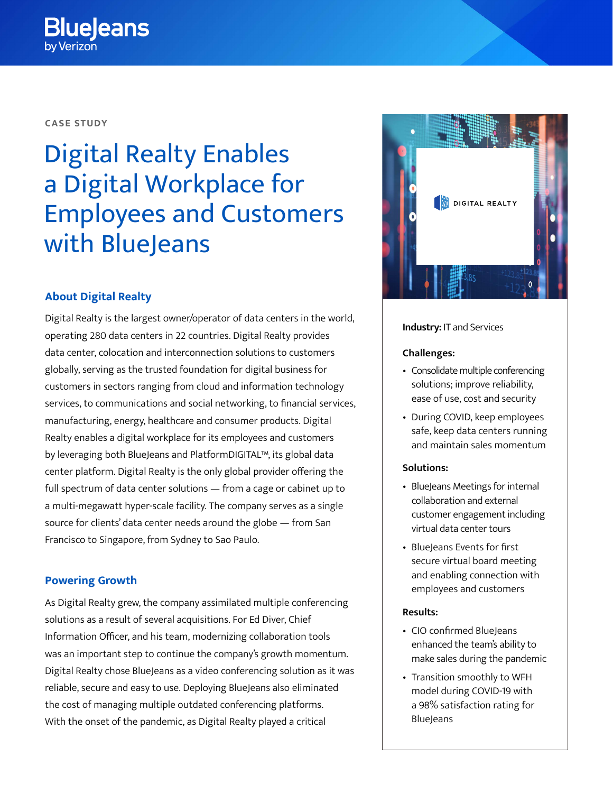### **CASE STUDY**

# Digital Realty Enables a Digital Workplace for Employees and Customers with BlueJeans

# **About Digital Realty**

Digital Realty is the largest owner/operator of data centers in the world, operating 280 data centers in 22 countries. Digital Realty provides data center, colocation and interconnection solutions to customers globally, serving as the trusted foundation for digital business for customers in sectors ranging from cloud and information technology services, to communications and social networking, to financial services, manufacturing, energy, healthcare and consumer products. Digital Realty enables a digital workplace for its employees and customers by leveraging both BlueJeans and PlatformDIGITAL™, its global data center platform. Digital Realty is the only global provider offering the full spectrum of data center solutions — from a cage or cabinet up to a multi-megawatt hyper-scale facility. The company serves as a single source for clients' data center needs around the globe — from San Francisco to Singapore, from Sydney to Sao Paulo.

# **Powering Growth**

As Digital Realty grew, the company assimilated multiple conferencing solutions as a result of several acquisitions. For Ed Diver, Chief Information Officer, and his team, modernizing collaboration tools was an important step to continue the company's growth momentum. Digital Realty chose BlueJeans as a video conferencing solution as it was reliable, secure and easy to use. Deploying BlueJeans also eliminated the cost of managing multiple outdated conferencing platforms. With the onset of the pandemic, as Digital Realty played a critical



### **Industry:** IT and Services

#### **Challenges:**

- Consolidate multiple conferencing solutions; improve reliability, ease of use, cost and security
- During COVID, keep employees safe, keep data centers running and maintain sales momentum

## **Solutions:**

- BlueJeans Meetings for internal collaboration and external customer engagement including virtual data center tours
- Blueleans Events for first secure virtual board meeting and enabling connection with employees and customers

#### **Results:**

- CIO confirmed BlueJeans enhanced the team's ability to make sales during the pandemic
- Transition smoothly to WFH model during COVID-19 with a 98% satisfaction rating for **BlueJeans**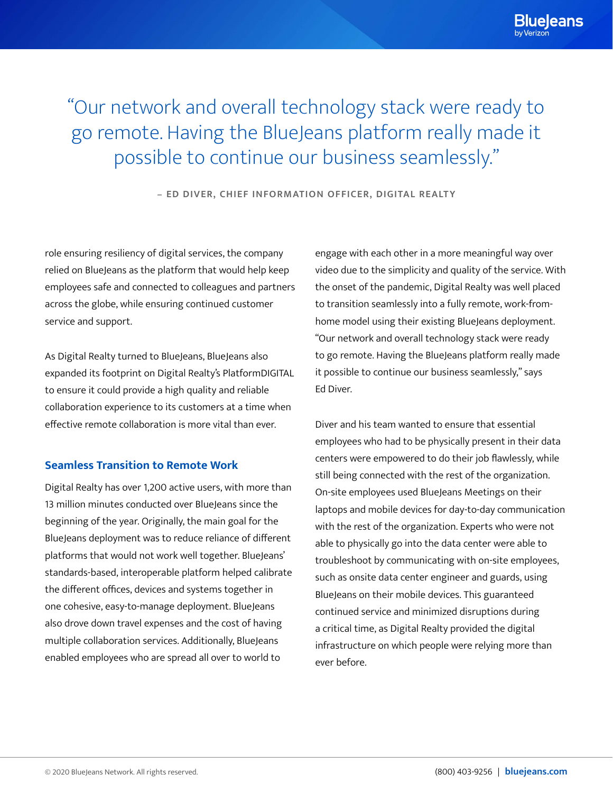"Our network and overall technology stack were ready to go remote. Having the BlueJeans platform really made it possible to continue our business seamlessly."

**– ED DIVER, CHIEF INFORMATION OFFICER, DIGITAL REALTY**

role ensuring resiliency of digital services, the company relied on BlueJeans as the platform that would help keep employees safe and connected to colleagues and partners across the globe, while ensuring continued customer service and support.

As Digital Realty turned to BlueJeans, BlueJeans also expanded its footprint on Digital Realty's PlatformDIGITAL to ensure it could provide a high quality and reliable collaboration experience to its customers at a time when effective remote collaboration is more vital than ever.

## **Seamless Transition to Remote Work**

Digital Realty has over 1,200 active users, with more than 13 million minutes conducted over BlueJeans since the beginning of the year. Originally, the main goal for the BlueJeans deployment was to reduce reliance of different platforms that would not work well together. BlueJeans' standards-based, interoperable platform helped calibrate the different offices, devices and systems together in one cohesive, easy-to-manage deployment. BlueJeans also drove down travel expenses and the cost of having multiple collaboration services. Additionally, BlueJeans enabled employees who are spread all over to world to

engage with each other in a more meaningful way over video due to the simplicity and quality of the service. With the onset of the pandemic, Digital Realty was well placed to transition seamlessly into a fully remote, work-fromhome model using their existing BlueJeans deployment. "Our network and overall technology stack were ready to go remote. Having the BlueJeans platform really made it possible to continue our business seamlessly," says Ed Diver.

Diver and his team wanted to ensure that essential employees who had to be physically present in their data centers were empowered to do their job flawlessly, while still being connected with the rest of the organization. On-site employees used BlueJeans Meetings on their laptops and mobile devices for day-to-day communication with the rest of the organization. Experts who were not able to physically go into the data center were able to troubleshoot by communicating with on-site employees, such as onsite data center engineer and guards, using BlueJeans on their mobile devices. This guaranteed continued service and minimized disruptions during a critical time, as Digital Realty provided the digital infrastructure on which people were relying more than ever before.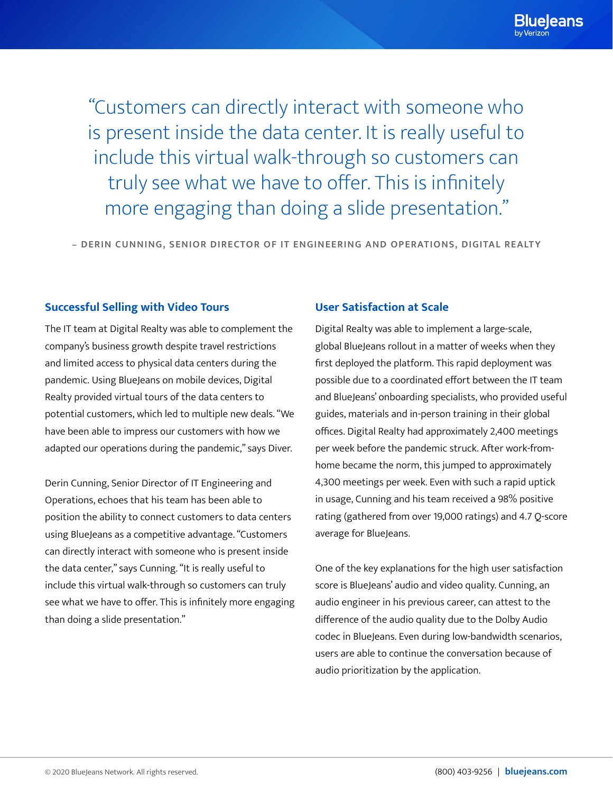"Customers can directly interact with someone who is present inside the data center. It is really useful to include this virtual walk-through so customers can truly see what we have to offer. This is infinitely more engaging than doing a slide presentation."

**– DERIN CUNNING, SENIOR DIRECTOR OF IT ENGINEERING AND OPERATIONS, DIGITAL REALTY**

## **Successful Selling with Video Tours**

The IT team at Digital Realty was able to complement the company's business growth despite travel restrictions and limited access to physical data centers during the pandemic. Using BlueJeans on mobile devices, Digital Realty provided virtual tours of the data centers to potential customers, which led to multiple new deals. "We have been able to impress our customers with how we adapted our operations during the pandemic," says Diver.

Derin Cunning, Senior Director of IT Engineering and Operations, echoes that his team has been able to position the ability to connect customers to data centers using BlueJeans as a competitive advantage. "Customers can directly interact with someone who is present inside the data center," says Cunning. "It is really useful to include this virtual walk-through so customers can truly see what we have to offer. This is infinitely more engaging than doing a slide presentation."

### **User Satisfaction at Scale**

Digital Realty was able to implement a large-scale, global BlueJeans rollout in a matter of weeks when they first deployed the platform. This rapid deployment was possible due to a coordinated effort between the IT team and BlueJeans' onboarding specialists, who provided useful guides, materials and in-person training in their global offices. Digital Realty had approximately 2,400 meetings per week before the pandemic struck. After work-fromhome became the norm, this jumped to approximately 4,300 meetings per week. Even with such a rapid uptick in usage, Cunning and his team received a 98% positive rating (gathered from over 19,000 ratings) and 4.7 Q-score average for BlueJeans.

One of the key explanations for the high user satisfaction score is BlueJeans' audio and video quality. Cunning, an audio engineer in his previous career, can attest to the difference of the audio quality due to the Dolby Audio codec in BlueJeans. Even during low-bandwidth scenarios, users are able to continue the conversation because of audio prioritization by the application.